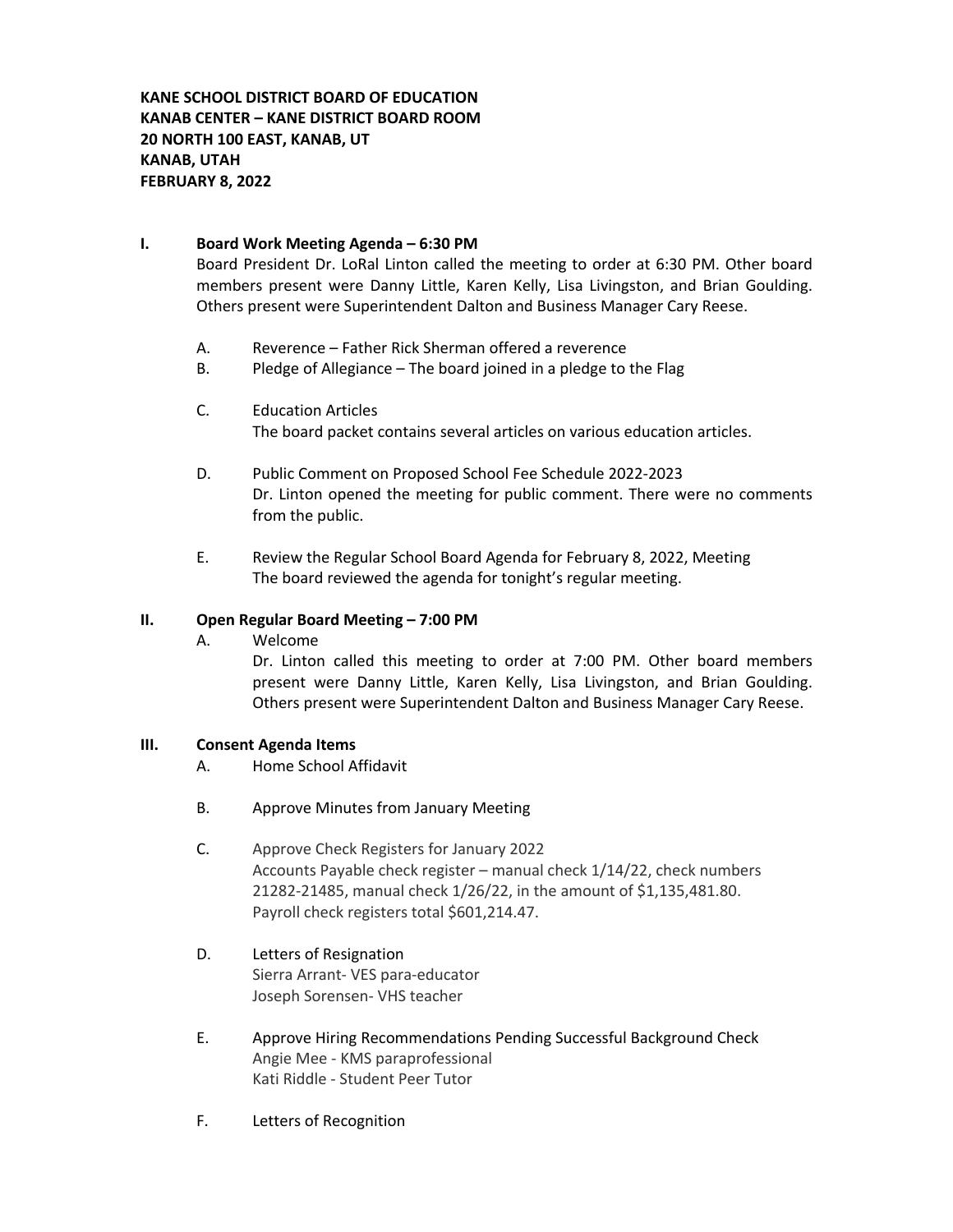**KANE SCHOOL DISTRICT BOARD OF EDUCATION KANAB CENTER – KANE DISTRICT BOARD ROOM 20 NORTH 100 EAST, KANAB, UT KANAB, UTAH FEBRUARY 8, 2022**

### **I. Board Work Meeting Agenda – 6:30 PM**

Board President Dr. LoRal Linton called the meeting to order at 6:30 PM. Other board members present were Danny Little, Karen Kelly, Lisa Livingston, and Brian Goulding. Others present were Superintendent Dalton and Business Manager Cary Reese.

- A. Reverence Father Rick Sherman offered a reverence
- B. Pledge of Allegiance The board joined in a pledge to the Flag
- C. Education Articles The board packet contains several articles on various education articles.
- D. Public Comment on Proposed School Fee Schedule 2022-2023 Dr. Linton opened the meeting for public comment. There were no comments from the public.
- E. Review the Regular School Board Agenda for February 8, 2022, Meeting The board reviewed the agenda for tonight's regular meeting.

#### **II. Open Regular Board Meeting – 7:00 PM**

A. Welcome

Dr. Linton called this meeting to order at 7:00 PM. Other board members present were Danny Little, Karen Kelly, Lisa Livingston, and Brian Goulding. Others present were Superintendent Dalton and Business Manager Cary Reese.

#### **III. Consent Agenda Items**

- A. Home School Affidavit
- B. Approve Minutes from January Meeting
- C. Approve Check Registers for January 2022 Accounts Payable check register – manual check 1/14/22, check numbers 21282-21485, manual check 1/26/22, in the amount of \$1,135,481.80. Payroll check registers total \$601,214.47.
- D. Letters of Resignation Sierra Arrant- VES para-educator Joseph Sorensen- VHS teacher
- E. Approve Hiring Recommendations Pending Successful Background Check Angie Mee - KMS paraprofessional Kati Riddle - Student Peer Tutor
- F. Letters of Recognition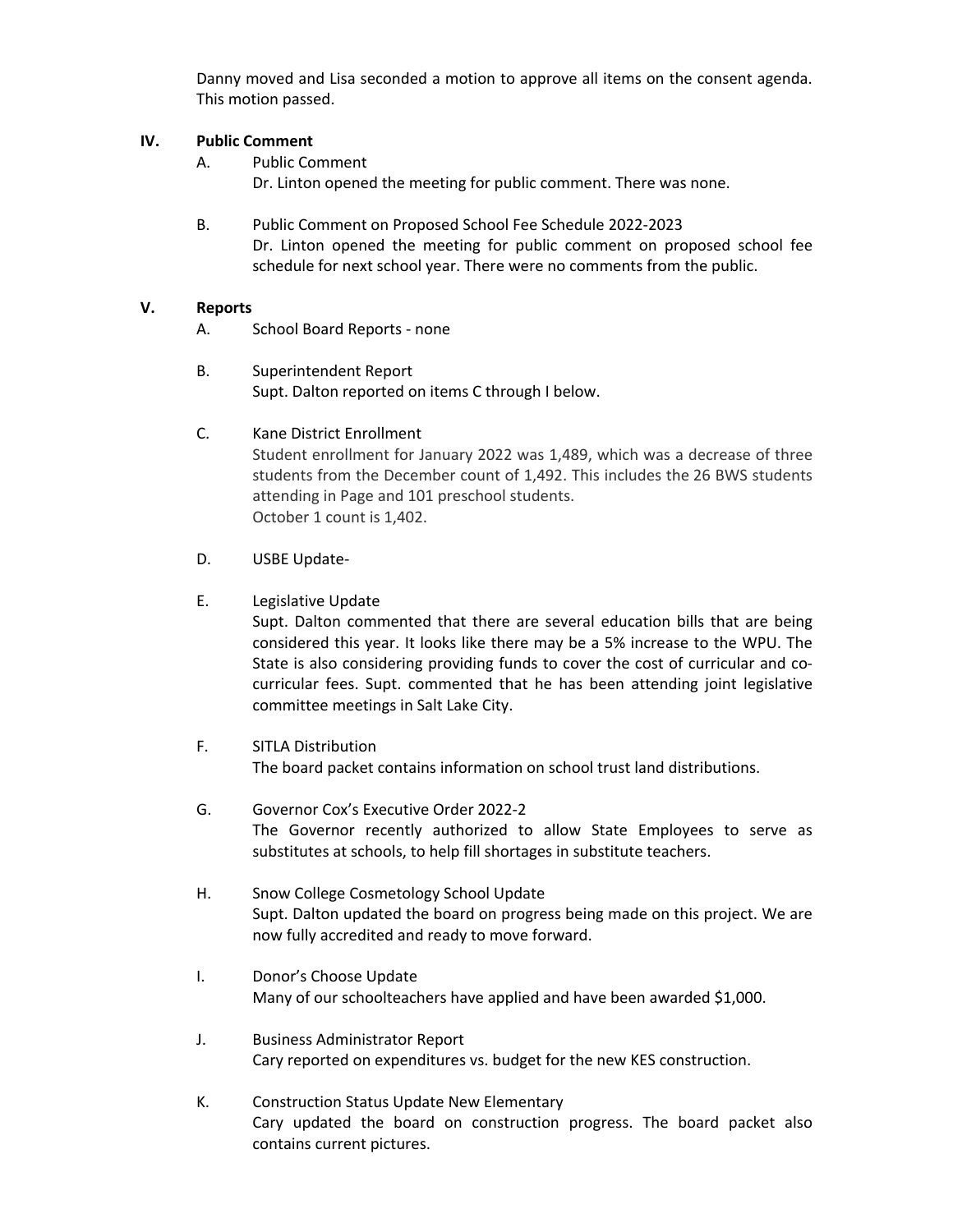Danny moved and Lisa seconded a motion to approve all items on the consent agenda. This motion passed.

### **IV. Public Comment**

- A. Public Comment Dr. Linton opened the meeting for public comment. There was none.
- B. Public Comment on Proposed School Fee Schedule 2022-2023 Dr. Linton opened the meeting for public comment on proposed school fee schedule for next school year. There were no comments from the public.

# **V. Reports**

- A. School Board Reports none
- B. Superintendent Report Supt. Dalton reported on items C through I below.
- C. Kane District Enrollment Student enrollment for January 2022 was 1,489, which was a decrease of three students from the December count of 1,492. This includes the 26 BWS students attending in Page and 101 preschool students. October 1 count is 1,402.
- D. USBE Update-

# E. Legislative Update

Supt. Dalton commented that there are several education bills that are being considered this year. It looks like there may be a 5% increase to the WPU. The State is also considering providing funds to cover the cost of curricular and cocurricular fees. Supt. commented that he has been attending joint legislative committee meetings in Salt Lake City.

- F. SITLA Distribution The board packet contains information on school trust land distributions.
- G. Governor Cox's Executive Order 2022-2 The Governor recently authorized to allow State Employees to serve as substitutes at schools, to help fill shortages in substitute teachers.
- H. Snow College Cosmetology School Update Supt. Dalton updated the board on progress being made on this project. We are now fully accredited and ready to move forward.
- I. Donor's Choose Update Many of our schoolteachers have applied and have been awarded \$1,000.
- J. Business Administrator Report Cary reported on expenditures vs. budget for the new KES construction.
- K. Construction Status Update New Elementary Cary updated the board on construction progress. The board packet also contains current pictures.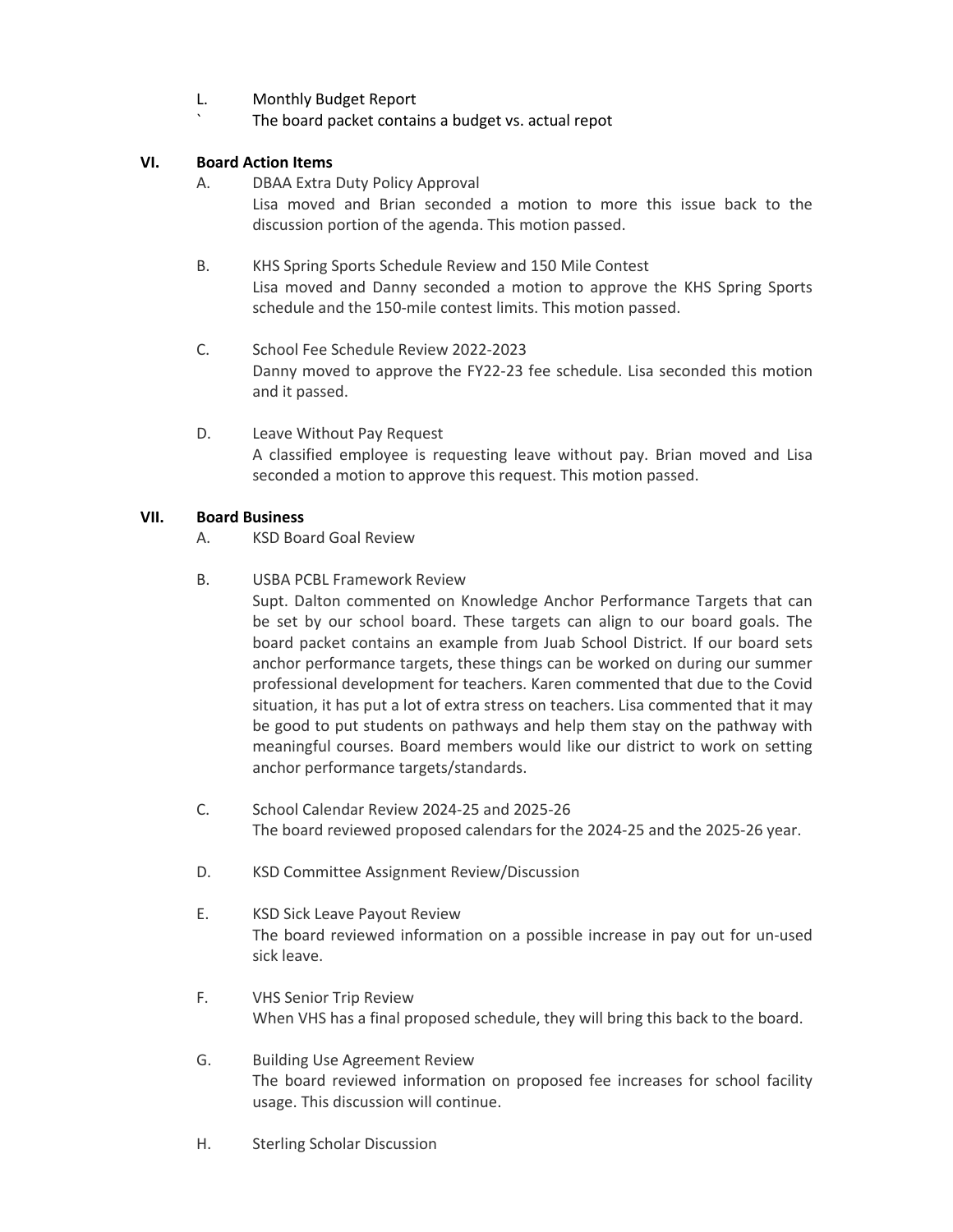- L. Monthly Budget Report
	- The board packet contains a budget vs. actual repot

## **VI. Board Action Items**

A. DBAA Extra Duty Policy Approval

Lisa moved and Brian seconded a motion to more this issue back to the discussion portion of the agenda. This motion passed.

- B. KHS Spring Sports Schedule Review and 150 Mile Contest Lisa moved and Danny seconded a motion to approve the KHS Spring Sports schedule and the 150-mile contest limits. This motion passed.
- C. School Fee Schedule Review 2022-2023 Danny moved to approve the FY22-23 fee schedule. Lisa seconded this motion and it passed.
- D. Leave Without Pay Request A classified employee is requesting leave without pay. Brian moved and Lisa seconded a motion to approve this request. This motion passed.

### **VII. Board Business**

- A. KSD Board Goal Review
- B. USBA PCBL Framework Review

Supt. Dalton commented on Knowledge Anchor Performance Targets that can be set by our school board. These targets can align to our board goals. The board packet contains an example from Juab School District. If our board sets anchor performance targets, these things can be worked on during our summer professional development for teachers. Karen commented that due to the Covid situation, it has put a lot of extra stress on teachers. Lisa commented that it may be good to put students on pathways and help them stay on the pathway with meaningful courses. Board members would like our district to work on setting anchor performance targets/standards.

- C. School Calendar Review 2024-25 and 2025-26 The board reviewed proposed calendars for the 2024-25 and the 2025-26 year.
- D. KSD Committee Assignment Review/Discussion
- E. KSD Sick Leave Payout Review The board reviewed information on a possible increase in pay out for un-used sick leave.
- F. VHS Senior Trip Review When VHS has a final proposed schedule, they will bring this back to the board.
- G. Building Use Agreement Review The board reviewed information on proposed fee increases for school facility usage. This discussion will continue.
- H. Sterling Scholar Discussion